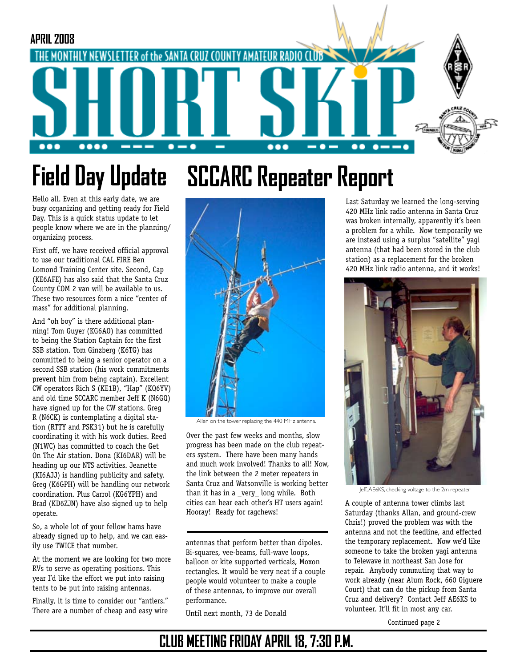

# **SCCARC Repeater Report Field Day Update**

Hello all. Even at this early date, we are busy organizing and getting ready for Field Day. This is a quick status update to let people know where we are in the planning/ organizing process.

First off, we have received official approval to use our traditional CAL FIRE Ben Lomond Training Center site. Second, Cap (KE6AFE) has also said that the Santa Cruz County COM 2 van will be available to us. These two resources form a nice "center of mass" for additional planning.

And "oh boy" is there additional planning! Tom Guyer (KG6AO) has committed to being the Station Captain for the first SSB station. Tom Ginzberg (K6TG) has committed to being a senior operator on a second SSB station (his work commitments prevent him from being captain). Excellent CW operators Rich S (KE1B), "Hap" (KQ6YV) and old time SCCARC member Jeff K (N6GQ) have signed up for the CW stations. Greg R (N6CK) is contemplating a digital station (RTTY and PSK31) but he is carefully coordinating it with his work duties. Reed (N1WC) has committed to coach the Get On The Air station. Dona (KI6DAR) will be heading up our NTS activities. Jeanette (KI6AJJ) is handling publicity and safety. Greg (K6GPH) will be handling our network coordination. Plus Carrol (KG6YPH) and Brad (KD6ZJN) have also signed up to help operate.

So, a whole lot of your fellow hams have already signed up to help, and we can easily use TWICE that number.

At the moment we are looking for two more RVs to serve as operating positions. This year I'd like the effort we put into raising tents to be put into raising antennas.

Finally, it is time to consider our "antlers." There are a number of cheap and easy wire



Allen on the tower replacing the 440 MHz antenna.

Over the past few weeks and months, slow progress has been made on the club repeaters system. There have been many hands and much work involved! Thanks to all! Now, the link between the 2 meter repeaters in Santa Cruz and Watsonville is working better than it has in a \_very\_ long while. Both cities can hear each other's HT users again! Hooray! Ready for ragchews!

antennas that perform better than dipoles. Bi-squares, vee-beams, full-wave loops, balloon or kite supported verticals, Moxon rectangles. It would be very neat if a couple people would volunteer to make a couple of these antennas, to improve our overall performance.

Until next month, 73 de Donald

Last Saturday we learned the long-serving 420 MHz link radio antenna in Santa Cruz was broken internally, apparently it's been a problem for a while. Now temporarily we are instead using a surplus "satellite" yagi antenna (that had been stored in the club station) as a replacement for the broken 420 MHz link radio antenna, and it works!



Jeff, AE6KS, checking voltage to the 2m repeater

A couple of antenna tower climbs last Saturday (thanks Allan, and ground-crew Chris!) proved the problem was with the antenna and not the feedline, and effected the temporary replacement. Now we'd like someone to take the broken yagi antenna to Telewave in northeast San Jose for repair. Anybody commuting that way to work already (near Alum Rock, 660 Giguere Court) that can do the pickup from Santa Cruz and delivery? Contact Jeff AE6KS to volunteer. It'll fit in most any car.

Continued page 2

### **CLUB MEETING FRIDAY APRIL 18, 7:30 P.M.**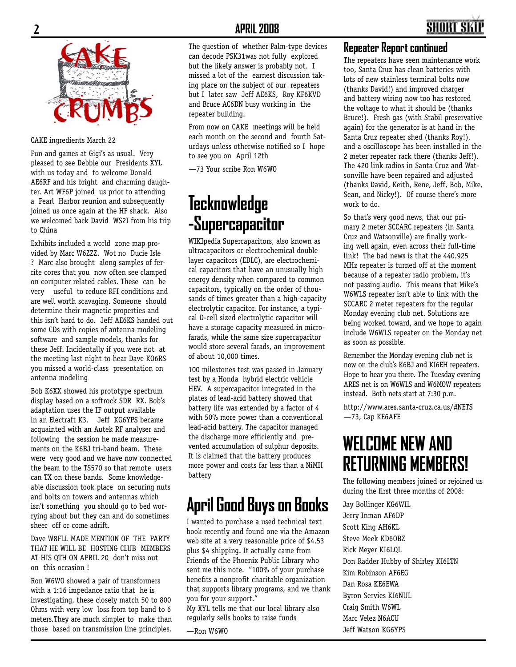

#### CAKE ingredients March 22

Fun and games at Gigi's as usual. Very pleased to see Debbie our Presidents XYL with us today and to welcome Donald AE6RF and his bright and charming daughter. Art WF6P joined us prior to attending a Pearl Harbor reunion and subsequently joined us once again at the HF shack. Also we welcomed back David WS2I from his trip to China

Exhibits included a world zone map provided by Marc W6ZZZ. Wot no Ducie Isle ? Marc also brought along samples of ferrite cores that you now often see clamped on computer related cables. These can be very useful to reduce RFI conditions and are well worth scavaging. Someone should determine their magnetic properties and this isn't hard to do. Jeff AE6KS handed out some CDs with copies of antenna modeling software and sample models, thanks for these Jeff. Incidentally if you were not at the meeting last night to hear Dave KO6RS you missed a world-class presentation on antenna modeling

Bob K6XX showed his prototype spectrum display based on a softrock SDR RX. Bob's adaptation uses the IF output available in an Electraft K3. Jeff KG6YPS became acquainted with an Autek RF analyser and following the session he made measurements on the K6BJ tri-band beam. These were very good and we have now connected the beam to the TS570 so that remote users can TX on these bands. Some knowledgeable discussion took place on securing nuts and bolts on towers and antennas which isn't something you should go to bed worrying about but they can and do sometimes sheer off or come adrift.

Dave W8FLL MADE MENTION OF THE PARTY THAT HE WILL BE HOSTING CLUB MEMBERS AT HIS QTH ON APRIL 20 don't miss out on this occasion !

Ron W6WO showed a pair of transformers with a 1:16 impedance ratio that he is investigating, these closely match 50 to 800 Ohms with very low loss from top band to 6 meters.They are much simpler to make than those based on transmission line principles.

The question of whether Palm-type devices can decode PSK31was not fully explored but the likely answer is probably not. I missed a lot of the earnest discussion taking place on the subject of our repeaters but I later saw Jeff AE6KS, Roy KF6KVD and Bruce AC6DN busy working in the repeater building.

From now on CAKE meetings will be held each month on the second and fourth Saturdays unless otherwise notified so I hope to see you on April 12th

—73 Your scribe Ron W6WO

### **Tecknowledge -Supercapacitor**

WIKIpedia Supercapacitors, also known as ultracapacitors or electrochemical double layer capacitors (EDLC), are electrochemical capacitors that have an unusually high energy density when compared to common capacitors, typically on the order of thousands of times greater than a high-capacity electrolytic capacitor. For instance, a typical D-cell sized electrolytic capacitor will have a storage capacity measured in microfarads, while the same size supercapacitor would store several farads, an improvement of about 10,000 times.

100 milestones test was passed in January test by a Honda hybrid electric vehicle HEV. A supercapacitor integrated in the plates of lead-acid battery showed that battery life was extended by a factor of 4 with 50% more power than a conventional lead-acid battery. The capacitor managed the discharge more efficiently and prevented accumulation of sulphur deposits. It is claimed that the battery produces more power and costs far less than a NiMH battery

### **April Good Buys on Books**

I wanted to purchase a used technical text book recently and found one via the Amazon web site at a very reasonable price of \$4.53 plus \$4 shipping. It actually came from Friends of the Phoenix Public Library who sent me this note. "100% of your purchase benefits a nonprofit charitable organization that supports library programs, and we thank you for your support."

My XYL tells me that our local library also regularly sells books to raise funds

—Ron W6WO

#### **Repeater Report continued**

The repeaters have seen maintenance work too, Santa Cruz has clean batteries with lots of new stainless terminal bolts now (thanks David!) and improved charger and battery wiring now too has restored the voltage to what it should be (thanks Bruce!). Fresh gas (with Stabil preservative again) for the generator is at hand in the Santa Cruz repeater shed (thanks Roy!), and a oscilloscope has been installed in the 2 meter repeater rack there (thanks Jeff!). The 420 link radios in Santa Cruz and Watsonville have been repaired and adjusted (thanks David, Keith, Rene, Jeff, Bob, Mike, Sean, and Nicky!). Of course there's more work to do.

So that's very good news, that our primary 2 meter SCCARC repeaters (in Santa Cruz and Watsonville) are finally working well again, even across their full-time link! The bad news is that the 440.925 MHz repeater is turned off at the moment because of a repeater radio problem, it's not passing audio. This means that Mike's W6WLS repeater isn't able to link with the SCCARC 2 meter repeaters for the regular Monday evening club net. Solutions are being worked toward, and we hope to again include W6WLS repeater on the Monday net as soon as possible.

Remember the Monday evening club net is now on the club's K6BJ and KI6EH repeaters. Hope to hear you there. The Tuesday evening ARES net is on W6WLS and W6MOW repeaters instead. Both nets start at 7:30 p.m.

http://www.ares.santa-cruz.ca.us/#NETS —73, Cap KE6AFE

### **WELCOME NEW AND RETURNING MEMBERS!**

The following members joined or rejoined us during the first three months of 2008:

Jay Bollinger KG6WIL Jerry Inman AF6DP Scott King AH6KL Steve Meek KD6OBZ Rick Meyer KI6LQL Don Radder Hubby of Shirley KI6LTN Kim Robinson AF6EG Dan Rosa KE6EWA Byron Servies KI6NUL Craig Smith W6WL Marc Velez N6ACU Jeff Watson KG6YPS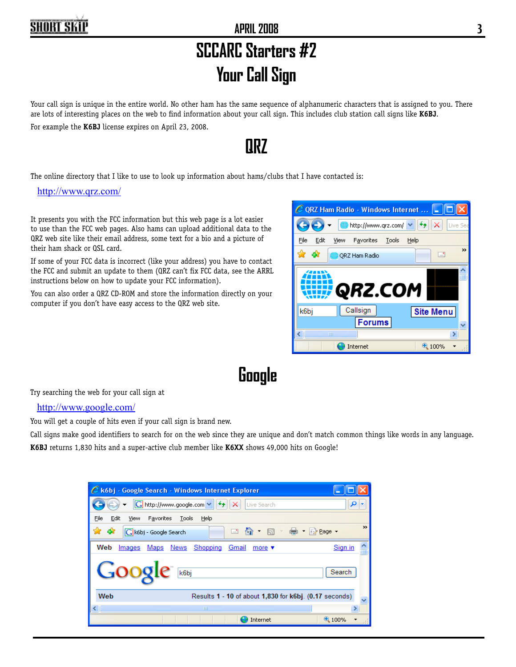# **SCCARC Starters #2 Your Call Sign**

#### Your call sign is unique in the entire world. No other ham has the same sequence of alphanumeric characters that is assigned to you. There are lots of interesting places on the web to find information about your call sign. This includes club station call signs like **K6BJ**. For example the **K6BJ** license expires on April 23, 2008.

### **QRZ**

The online directory that I like to use to look up information about hams/clubs that I have contacted is:

http://www.qrz.com/

It presents you with the FCC information but this web page is a lot easier to use than the FCC web pages. Also hams can upload additional data to the QRZ web site like their email address, some text for a bio and a picture of their ham shack or QSL card.

If some of your FCC data is incorrect (like your address) you have to contact the FCC and submit an update to them (QRZ can't fix FCC data, see the ARRL instructions below on how to update your FCC information).

You can also order a QRZ CD-ROM and store the information directly on your computer if you don't have easy access to the QRZ web site.



# **Google**

Try searching the web for your call sign at

#### http://www.google.com/

You will get a couple of hits even if your call sign is brand new.

Call signs make good identifiers to search for on the web since they are unique and don't match common things like words in any language. **K6BJ** returns 1,830 hits and a super-active club member like **K6XX** shows 49,000 hits on Google!

| C k6bj - Google Search - Windows Internet Explorer                                         |
|--------------------------------------------------------------------------------------------|
| G http://www.google.com V<br>مر<br>×<br>Live Search                                        |
| File<br>Edit<br>Favorites<br>Tools<br>Help<br>View                                         |
| $\rightarrow$<br>⊀≿<br>47<br>G k6bj - Google Search<br>$\Box$                              |
| Web<br>Sign in<br>News<br>Shopping<br>Maps<br>Images<br>Gmail<br>more $\blacktriangledown$ |
| Search<br>k6bj                                                                             |
| Web<br>Results 1 - 10 of about 1,830 for k6bj. (0.17 seconds)                              |
| <b>TITL</b><br>⋗                                                                           |
| 4100%<br>Internet                                                                          |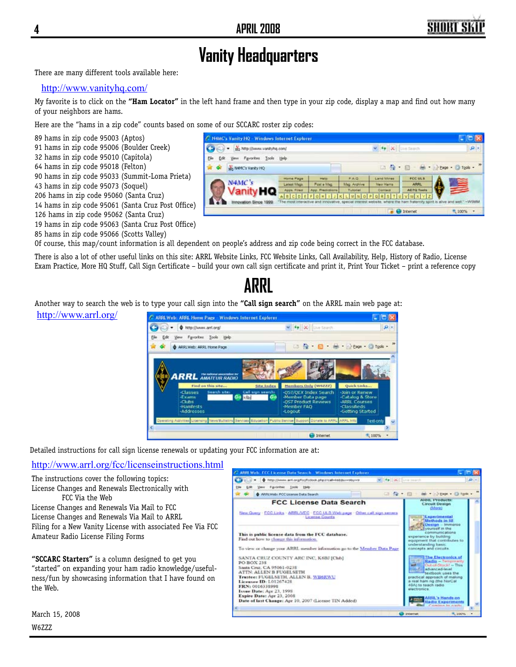$\mathbf{D}$ 

- LIVEARA

 $\mathbf{v}$   $\mathbf{v}$   $\mathbf{x}$   $\mathbf{u}$  a Sever

A B C D E F O H T J K C M N O F O R S T I Û V W X Y Z

□ 台 · 田 · 曲 · ⇒ Page · ◎ Tgals - "

FCC ULB

AFTO TH

**O** Internet

### **Vanity Headquarters**

There are many different tools available here:

#### http://www.vanityhq.com/

My favorite is to click on the **"Ham Locator"** in the left hand frame and then type in your zip code, display a map and find out how many of your neighbors are hams.

C N4MC's Vanity HQ - Windows Internet Explorer

- it's http://www.vanityhq.com/

No NHAC's Vanity HQ

 $N-4MC$ 's

New Fgyorkes Jook the

anity **HQ** 

Here are the "hams in a zip code" counts based on some of our SCCARC roster zip codes:

89 hams in zip code 95003 (Aptos)

- 91 hams in zip code 95006 (Boulder Creek)
- 32 hams in zip code 95010 (Capitola)
- 64 hams in zip code 95018 (Felton)
- 90 hams in zip code 95033 (Summit-Loma Prieta)
- 43 hams in zip code 95073 (Soquel)
- 206 hams in zip code 95060 (Santa Cruz)
- 14 hams in zip code 95061 (Santa Cruz Post Office)
- 126 hams in zip code 95062 (Santa Cruz) 19 hams in zip code 95063 (Santa Cruz Post Office)
- 85 hams in zip code 95066 (Scotts Valley)

http://www.arrl.org/

Of course, this map/count information is all dependent on people's address and zip code being correct in the FCC database.

Bk

Edit

۵

There is also a lot of other useful links on this site: ARRL Website Links, FCC Website Links, Call Availability, Help, History of Radio, License Exam Practice, More HQ Stuff, Call Sign Certificate – build your own call sign certificate and print it, Print Your Ticket – print a reference copy

# Another way to search the web is to type Fig. Fr. é. **ARRL AMATEUR RADIO** Lau C Interne

Detailed instructions for call sign license renewals or updating your FCC information are at:

#### http://www.arrl.org/fcc/licenseinstructions.html

The instructions cover the following topics: License Changes and Renewals Electronically with FCC Via the Web

License Changes and Renewals Via Mail to FCC License Changes and Renewals Via Mail to ARRL Filing for a New Vanity License with associated Fee Via FCC Amateur Radio License Filing Forms

**"SCCARC Starters"** is a column designed to get you "started" on expanding your ham radio knowledge/usefulness/fun by showcasing information that I have found on the Web.



| tincate – bunu your own can sign certincate and print it, Print four ficket – pri |                                   |  |
|-----------------------------------------------------------------------------------|-----------------------------------|--|
| ARRI                                                                              |                                   |  |
| your call sign into the "Call sign search" on the ARRL main web page at:          |                                   |  |
| Web: ARRL Home Page - Windows Internet Explorer                                   |                                   |  |
| + http://www.arri.org/                                                            | <b>Sp X Live Search</b>           |  |
| Favorites Tools Help                                                              |                                   |  |
| ARRI, Web: ARRI, Home Page                                                        | □ 位 · 回 · 曲 · il cop · O Took · " |  |
|                                                                                   |                                   |  |

Apps. F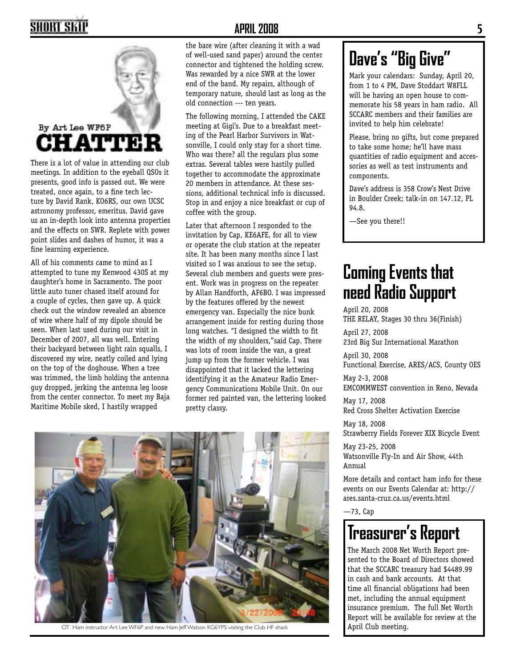# SHORT SKII



meetings. In addition to the eyeball QSOs it presents, good info is passed out. We were treated, once again, to a fine tech lecture by David Rank, KO6RS, our own UCSC astronomy professor, emeritus. David gave us an in-depth look into antenna properties and the effects on SWR. Replete with power point slides and dashes of humor, it was a fine learning experience.

All of his comments came to mind as I attempted to tune my Kenwood 430S at my daughter's home in Sacramento. The poor little auto tuner chased itself around for a couple of cycles, then gave up. A quick check out the window revealed an absence of wire where half of my dipole should be seen. When last used during our visit in December of 2007, all was well. Entering their backyard between light rain squalls, I discovered my wire, neatly coiled and lying on the top of the doghouse. When a tree was trimmed, the limb holding the antenna guy dropped, jerking the antenna leg loose from the center connector. To meet my Baja Maritime Mobile sked, I hastily wrapped

### **APRIL 2008 5**

the bare wire (after cleaning it with a wad of well-used sand paper) around the center connector and tightened the holding screw. Was rewarded by a nice SWR at the lower end of the band. My repairs, although of temporary nature, should last as long as the old connection --- ten years.

The following morning, I attended the CAKE meeting at Gigi's. Due to a breakfast meeting of the Pearl Harbor Survivors in Watsonville, I could only stay for a short time. Who was there? all the regulars plus some extras. Several tables were hastily pulled together to accommodate the approximate 20 members in attendance. At these sessions, additional technical info is discussed. Stop in and enjoy a nice breakfast or cup of coffee with the group.

Later that afternoon I responded to the invitation by Cap, KE6AFE, for all to view or operate the club station at the repeater site. It has been many months since I last visited so I was anxious to see the setup. Several club members and guests were present. Work was in progress on the repeater by Allan Handforth, AF6BO. I was impressed by the features offered by the newest emergency van. Especially the nice bunk arrangement inside for resting during those long watches. "I designed the width to fit the width of my shoulders,"said Cap. There was lots of room inside the van, a great jump up from the former vehicle. I was disappointed that it lacked the lettering identifying it as the Amateur Radio Emergency Communications Mobile Unit. On our former red painted van, the lettering looked pretty classy.



OT Ham instructor Art Lee WF6P and new Ham Jeff Watson KG6YPS visiting the Club HF shack

# **Dave's "Big Give"**

Mark your calendars: Sunday, April 20, from 1 to 4 PM, Dave Stoddart W8FLL will be having an open house to commemorate his 58 years in ham radio. All SCCARC members and their families are invited to help him celebrate!

Please, bring no gifts, but come prepared to take some home; he'll have mass quantities of radio equipment and accessories as well as test instruments and components.

Dave's address is 358 Crow's Nest Drive in Boulder Creek; talk-in on 147.12, PL 94.8.

—See you there!!

# **Coming Events that need Radio Support**

April 20, 2008 THE RELAY, Stages 30 thru 36(Finish)

April 27, 2008 23rd Big Sur International Marathon

April 30, 2008 Functional Exercise, ARES/ACS, County OES

May 2-3, 2008 EMCOMMWEST convention in Reno, Nevada

May 17, 2008 Red Cross Shelter Activation Exercise

May 18, 2008 Strawberry Fields Forever XIX Bicycle Event

May 23-25, 2008 Watsonville Fly-In and Air Show, 44th Annual

More details and contact ham info for these events on our Events Calendar at: http:// ares.santa-cruz.ca.us/events.html

—73, Cap

# **Treasurer's Report**

The March 2008 Net Worth Report presented to the Board of Directors showed that the SCCARC treasury had \$4489.99 in cash and bank accounts. At that time all financial obligations had been met, including the annual equipment insurance premium. The full Net Worth Report will be available for review at the April Club meeting.